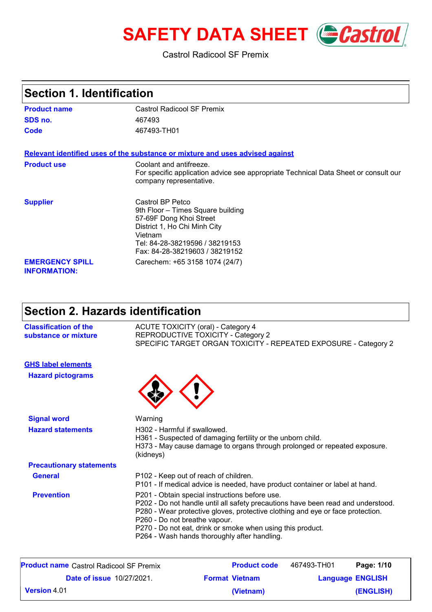# **SAFETY DATA SHEET** *Castrol*

### Castrol Radicool SF Premix

| <b>Section 1. Identification</b>              |                                                                                                                                                                                                 |
|-----------------------------------------------|-------------------------------------------------------------------------------------------------------------------------------------------------------------------------------------------------|
| <b>Product name</b>                           | Castrol Radicool SF Premix                                                                                                                                                                      |
| SDS no.                                       | 467493                                                                                                                                                                                          |
| Code                                          | 467493-TH01                                                                                                                                                                                     |
|                                               | Relevant identified uses of the substance or mixture and uses advised against                                                                                                                   |
| <b>Product use</b>                            | Coolant and antifreeze.<br>For specific application advice see appropriate Technical Data Sheet or consult our<br>company representative.                                                       |
| <b>Supplier</b>                               | Castrol BP Petco<br>9th Floor - Times Square building<br>57-69F Dong Khoi Street<br>District 1, Ho Chi Minh City<br>Vietnam<br>Tel: 84-28-38219596 / 38219153<br>Fax: 84-28-38219603 / 38219152 |
| <b>EMERGENCY SPILL</b><br><b>INFORMATION:</b> | Carechem: +65 3158 1074 (24/7)                                                                                                                                                                  |

## **Section 2. Hazards identification**

| <b>Classification of the</b><br>substance or mixture | <b>ACUTE TOXICITY (oral) - Category 4</b><br>REPRODUCTIVE TOXICITY - Category 2<br>SPECIFIC TARGET ORGAN TOXICITY - REPEATED EXPOSURE - Category 2                                                                                                                                                                                                                  |  |
|------------------------------------------------------|---------------------------------------------------------------------------------------------------------------------------------------------------------------------------------------------------------------------------------------------------------------------------------------------------------------------------------------------------------------------|--|
| <b>GHS label elements</b>                            |                                                                                                                                                                                                                                                                                                                                                                     |  |
| <b>Hazard pictograms</b>                             |                                                                                                                                                                                                                                                                                                                                                                     |  |
| <b>Signal word</b>                                   | Warning                                                                                                                                                                                                                                                                                                                                                             |  |
| <b>Hazard statements</b>                             | H302 - Harmful if swallowed.<br>H361 - Suspected of damaging fertility or the unborn child.<br>H373 - May cause damage to organs through prolonged or repeated exposure.<br>(kidneys)                                                                                                                                                                               |  |
| <b>Precautionary statements</b>                      |                                                                                                                                                                                                                                                                                                                                                                     |  |
| <b>General</b>                                       | P102 - Keep out of reach of children.<br>P101 - If medical advice is needed, have product container or label at hand.                                                                                                                                                                                                                                               |  |
| <b>Prevention</b>                                    | P201 - Obtain special instructions before use.<br>P202 - Do not handle until all safety precautions have been read and understood.<br>P280 - Wear protective gloves, protective clothing and eye or face protection.<br>P260 - Do not breathe vapour.<br>P270 - Do not eat, drink or smoke when using this product.<br>P264 - Wash hands thoroughly after handling. |  |
| <b>Product name</b> Castrol Radicool SF Premix       | <b>Product code</b><br>467493-TH01<br>Page: 1/10                                                                                                                                                                                                                                                                                                                    |  |

| <b>Product name</b> Castrol Radicool SF Premix | <b>Product code</b>   | 467493-TH01 | Page: 1/10              |
|------------------------------------------------|-----------------------|-------------|-------------------------|
| <b>Date of issue 10/27/2021.</b>               | <b>Format Vietnam</b> |             | <b>Language ENGLISH</b> |
| $\mid$ Version 4.01                            | (Vietnam)             |             | (ENGLISH)               |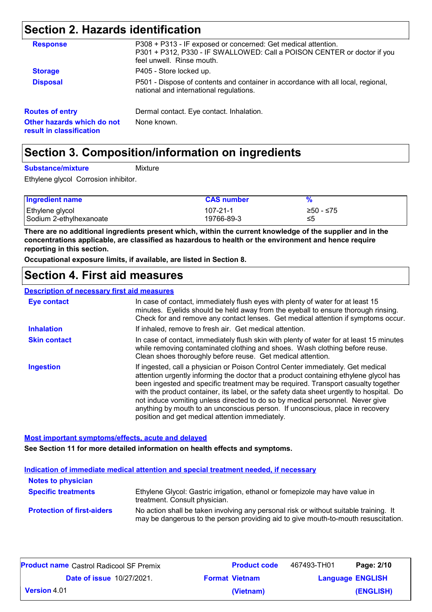## **Section 2. Hazards identification**

| <b>Response</b>                                        | P308 + P313 - IF exposed or concerned: Get medical attention.<br>P301 + P312, P330 - IF SWALLOWED: Call a POISON CENTER or doctor if you<br>feel unwell. Rinse mouth. |  |  |
|--------------------------------------------------------|-----------------------------------------------------------------------------------------------------------------------------------------------------------------------|--|--|
| <b>Storage</b>                                         | P405 - Store locked up.                                                                                                                                               |  |  |
| <b>Disposal</b>                                        | P501 - Dispose of contents and container in accordance with all local, regional,<br>national and international regulations.                                           |  |  |
| <b>Routes of entry</b>                                 | Dermal contact. Eye contact. Inhalation.                                                                                                                              |  |  |
| Other hazards which do not<br>result in classification | None known.                                                                                                                                                           |  |  |

### **Section 3. Composition/information on ingredients**

#### **Substance/mixture**

Mixture

Ethylene glycol Corrosion inhibitor.

| <b>Ingredient name</b>    | <b>CAS number</b> |             |
|---------------------------|-------------------|-------------|
| Ethylene glycol           | $107 - 21 - 1$    | $≥50 - ≤75$ |
| l Sodium 2-ethylhexanoate | 19766-89-3        | ≤5          |

**There are no additional ingredients present which, within the current knowledge of the supplier and in the concentrations applicable, are classified as hazardous to health or the environment and hence require reporting in this section.**

**Occupational exposure limits, if available, are listed in Section 8.**

### **Section 4. First aid measures**

#### **Description of necessary first aid measures**

| <b>Eye contact</b>  | In case of contact, immediately flush eyes with plenty of water for at least 15<br>minutes. Eyelids should be held away from the eyeball to ensure thorough rinsing.<br>Check for and remove any contact lenses. Get medical attention if symptoms occur.                                                                                                                                                                                                                                                                                                                      |
|---------------------|--------------------------------------------------------------------------------------------------------------------------------------------------------------------------------------------------------------------------------------------------------------------------------------------------------------------------------------------------------------------------------------------------------------------------------------------------------------------------------------------------------------------------------------------------------------------------------|
| <b>Inhalation</b>   | If inhaled, remove to fresh air. Get medical attention.                                                                                                                                                                                                                                                                                                                                                                                                                                                                                                                        |
| <b>Skin contact</b> | In case of contact, immediately flush skin with plenty of water for at least 15 minutes<br>while removing contaminated clothing and shoes. Wash clothing before reuse.<br>Clean shoes thoroughly before reuse. Get medical attention.                                                                                                                                                                                                                                                                                                                                          |
| <b>Ingestion</b>    | If ingested, call a physician or Poison Control Center immediately. Get medical<br>attention urgently informing the doctor that a product containing ethylene glycol has<br>been ingested and specific treatment may be required. Transport casualty together<br>with the product container, its label, or the safety data sheet urgently to hospital. Do<br>not induce vomiting unless directed to do so by medical personnel. Never give<br>anything by mouth to an unconscious person. If unconscious, place in recovery<br>position and get medical attention immediately. |

**Most important symptoms/effects, acute and delayed**

**See Section 11 for more detailed information on health effects and symptoms.**

|                                   | Indication of immediate medical attention and special treatment needed, if necessary                                                                                        |
|-----------------------------------|-----------------------------------------------------------------------------------------------------------------------------------------------------------------------------|
| <b>Notes to physician</b>         |                                                                                                                                                                             |
| <b>Specific treatments</b>        | Ethylene Glycol: Gastric irrigation, ethanol or fomepizole may have value in<br>treatment. Consult physician.                                                               |
| <b>Protection of first-aiders</b> | No action shall be taken involving any personal risk or without suitable training. It<br>may be dangerous to the person providing aid to give mouth-to-mouth resuscitation. |

| <b>Product name</b> Castrol Radicool SF Premix |                                  | <b>Product code</b>   | 467493-TH01 | Page: 2/10              |
|------------------------------------------------|----------------------------------|-----------------------|-------------|-------------------------|
|                                                | <b>Date of issue 10/27/2021.</b> | <b>Format Vietnam</b> |             | <b>Language ENGLISH</b> |
|                                                | Version 4.01                     | (Vietnam)             |             | (ENGLISH)               |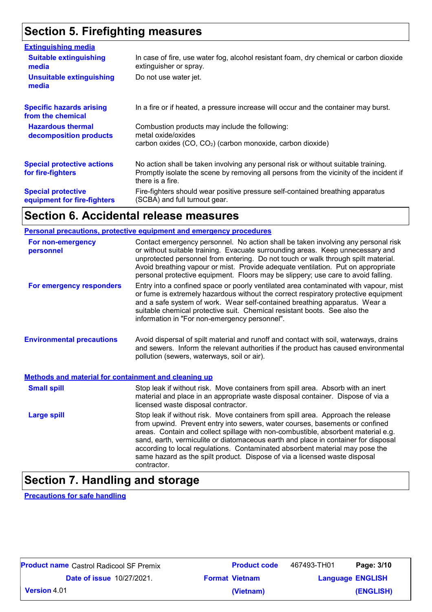## **Section 5. Firefighting measures**

| <b>Extinguishing media</b>                               |                                                                                                                                                                                                   |
|----------------------------------------------------------|---------------------------------------------------------------------------------------------------------------------------------------------------------------------------------------------------|
| <b>Suitable extinguishing</b><br>media                   | In case of fire, use water fog, alcohol resistant foam, dry chemical or carbon dioxide<br>extinguisher or spray.                                                                                  |
| <b>Unsuitable extinguishing</b><br>media                 | Do not use water jet.                                                                                                                                                                             |
| <b>Specific hazards arising</b><br>from the chemical     | In a fire or if heated, a pressure increase will occur and the container may burst.                                                                                                               |
| <b>Hazardous thermal</b><br>decomposition products       | Combustion products may include the following:<br>metal oxide/oxides<br>carbon oxides (CO, CO <sub>2</sub> ) (carbon monoxide, carbon dioxide)                                                    |
| <b>Special protective actions</b><br>for fire-fighters   | No action shall be taken involving any personal risk or without suitable training.<br>Promptly isolate the scene by removing all persons from the vicinity of the incident if<br>there is a fire. |
| <b>Special protective</b><br>equipment for fire-fighters | Fire-fighters should wear positive pressure self-contained breathing apparatus<br>(SCBA) and full turnout gear.                                                                                   |
|                                                          |                                                                                                                                                                                                   |

### **Section 6. Accidental release measures**

|                                                             | <b>Personal precautions, protective equipment and emergency procedures</b>                                                                                                                                                                                                                                                                                                                                                                                                                                               |
|-------------------------------------------------------------|--------------------------------------------------------------------------------------------------------------------------------------------------------------------------------------------------------------------------------------------------------------------------------------------------------------------------------------------------------------------------------------------------------------------------------------------------------------------------------------------------------------------------|
| For non-emergency<br>personnel                              | Contact emergency personnel. No action shall be taken involving any personal risk<br>or without suitable training. Evacuate surrounding areas. Keep unnecessary and<br>unprotected personnel from entering. Do not touch or walk through spilt material.<br>Avoid breathing vapour or mist. Provide adequate ventilation. Put on appropriate<br>personal protective equipment. Floors may be slippery; use care to avoid falling.                                                                                        |
| For emergency responders                                    | Entry into a confined space or poorly ventilated area contaminated with vapour, mist<br>or fume is extremely hazardous without the correct respiratory protective equipment<br>and a safe system of work. Wear self-contained breathing apparatus. Wear a<br>suitable chemical protective suit. Chemical resistant boots. See also the<br>information in "For non-emergency personnel".                                                                                                                                  |
| <b>Environmental precautions</b>                            | Avoid dispersal of spilt material and runoff and contact with soil, waterways, drains<br>and sewers. Inform the relevant authorities if the product has caused environmental<br>pollution (sewers, waterways, soil or air).                                                                                                                                                                                                                                                                                              |
| <b>Methods and material for containment and cleaning up</b> |                                                                                                                                                                                                                                                                                                                                                                                                                                                                                                                          |
| <b>Small spill</b>                                          | Stop leak if without risk. Move containers from spill area. Absorb with an inert<br>material and place in an appropriate waste disposal container. Dispose of via a<br>licensed waste disposal contractor.                                                                                                                                                                                                                                                                                                               |
| <b>Large spill</b>                                          | Stop leak if without risk. Move containers from spill area. Approach the release<br>from upwind. Prevent entry into sewers, water courses, basements or confined<br>areas. Contain and collect spillage with non-combustible, absorbent material e.g.<br>sand, earth, vermiculite or diatomaceous earth and place in container for disposal<br>according to local regulations. Contaminated absorbent material may pose the<br>same hazard as the spilt product. Dispose of via a licensed waste disposal<br>contractor. |

## **Section 7. Handling and storage**

**Precautions for safe handling**

| <b>Product name</b> Castrol Radicool SF Premix | <b>Product code</b>   | 467493-TH01 | Page: 3/10              |
|------------------------------------------------|-----------------------|-------------|-------------------------|
| <b>Date of issue 10/27/2021.</b>               | <b>Format Vietnam</b> |             | <b>Language ENGLISH</b> |
| $\mid$ Version 4.01                            | (Vietnam)             |             | (ENGLISH)               |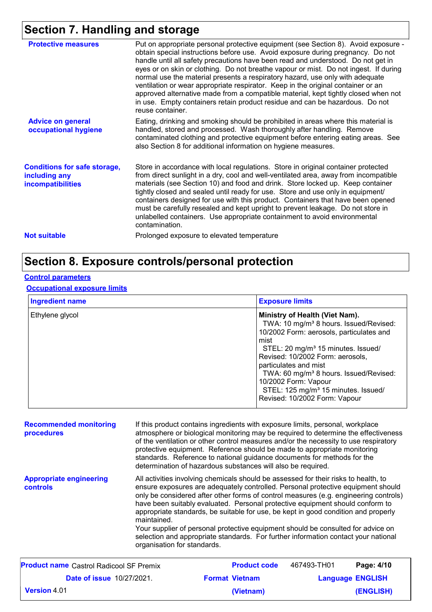## **Section 7. Handling and storage**

| <b>Protective measures</b>                                                       | Put on appropriate personal protective equipment (see Section 8). Avoid exposure -<br>obtain special instructions before use. Avoid exposure during pregnancy. Do not<br>handle until all safety precautions have been read and understood. Do not get in<br>eyes or on skin or clothing. Do not breathe vapour or mist. Do not ingest. If during<br>normal use the material presents a respiratory hazard, use only with adequate<br>ventilation or wear appropriate respirator. Keep in the original container or an<br>approved alternative made from a compatible material, kept tightly closed when not<br>in use. Empty containers retain product residue and can be hazardous. Do not<br>reuse container. |
|----------------------------------------------------------------------------------|------------------------------------------------------------------------------------------------------------------------------------------------------------------------------------------------------------------------------------------------------------------------------------------------------------------------------------------------------------------------------------------------------------------------------------------------------------------------------------------------------------------------------------------------------------------------------------------------------------------------------------------------------------------------------------------------------------------|
| <b>Advice on general</b><br>occupational hygiene                                 | Eating, drinking and smoking should be prohibited in areas where this material is<br>handled, stored and processed. Wash thoroughly after handling. Remove<br>contaminated clothing and protective equipment before entering eating areas. See<br>also Section 8 for additional information on hygiene measures.                                                                                                                                                                                                                                                                                                                                                                                                 |
| <b>Conditions for safe storage,</b><br>including any<br><b>incompatibilities</b> | Store in accordance with local regulations. Store in original container protected<br>from direct sunlight in a dry, cool and well-ventilated area, away from incompatible<br>materials (see Section 10) and food and drink. Store locked up. Keep container<br>tightly closed and sealed until ready for use. Store and use only in equipment/<br>containers designed for use with this product. Containers that have been opened<br>must be carefully resealed and kept upright to prevent leakage. Do not store in<br>unlabelled containers. Use appropriate containment to avoid environmental<br>contamination.                                                                                              |
| <b>Not suitable</b>                                                              | Prolonged exposure to elevated temperature                                                                                                                                                                                                                                                                                                                                                                                                                                                                                                                                                                                                                                                                       |
|                                                                                  |                                                                                                                                                                                                                                                                                                                                                                                                                                                                                                                                                                                                                                                                                                                  |

## **Section 8. Exposure controls/personal protection**

### **Control parameters**

### **Occupational exposure limits**

| <b>Ingredient name</b> | <b>Exposure limits</b>                                                                                                                                                                                                                                                                                                                                                                                                    |  |  |
|------------------------|---------------------------------------------------------------------------------------------------------------------------------------------------------------------------------------------------------------------------------------------------------------------------------------------------------------------------------------------------------------------------------------------------------------------------|--|--|
| Ethylene glycol        | Ministry of Health (Viet Nam).<br>TWA: 10 mg/m <sup>3</sup> 8 hours. Issued/Revised:<br>10/2002 Form: aerosols, particulates and<br>mist<br>STEL: 20 mg/m <sup>3</sup> 15 minutes. Issued/<br>Revised: 10/2002 Form: aerosols,<br>particulates and mist<br>TWA: 60 mg/m <sup>3</sup> 8 hours. Issued/Revised:<br>10/2002 Form: Vapour<br>STEL: 125 mg/m <sup>3</sup> 15 minutes. Issued/<br>Revised: 10/2002 Form: Vapour |  |  |

| <b>Recommended monitoring</b><br>procedures    |                                            | determination of hazardous substances will also be required. | If this product contains ingredients with exposure limits, personal, workplace<br>atmosphere or biological monitoring may be required to determine the effectiveness<br>of the ventilation or other control measures and/or the necessity to use respiratory<br>protective equipment. Reference should be made to appropriate monitoring<br>standards. Reference to national guidance documents for methods for the                                                                                                                                                                                              |                         |
|------------------------------------------------|--------------------------------------------|--------------------------------------------------------------|------------------------------------------------------------------------------------------------------------------------------------------------------------------------------------------------------------------------------------------------------------------------------------------------------------------------------------------------------------------------------------------------------------------------------------------------------------------------------------------------------------------------------------------------------------------------------------------------------------------|-------------------------|
| <b>Appropriate engineering</b><br>controls     | maintained.<br>organisation for standards. |                                                              | All activities involving chemicals should be assessed for their risks to health, to<br>ensure exposures are adequately controlled. Personal protective equipment should<br>only be considered after other forms of control measures (e.g. engineering controls)<br>have been suitably evaluated. Personal protective equipment should conform to<br>appropriate standards, be suitable for use, be kept in good condition and properly<br>Your supplier of personal protective equipment should be consulted for advice on<br>selection and appropriate standards. For further information contact your national |                         |
| <b>Product name</b> Castrol Radicool SF Premix |                                            | <b>Product code</b>                                          | 467493-TH01                                                                                                                                                                                                                                                                                                                                                                                                                                                                                                                                                                                                      | Page: 4/10              |
| <b>Date of issue 10/27/2021.</b>               |                                            | <b>Format Vietnam</b>                                        |                                                                                                                                                                                                                                                                                                                                                                                                                                                                                                                                                                                                                  | <b>Language ENGLISH</b> |

**(Vietnam)**

**(ENGLISH)**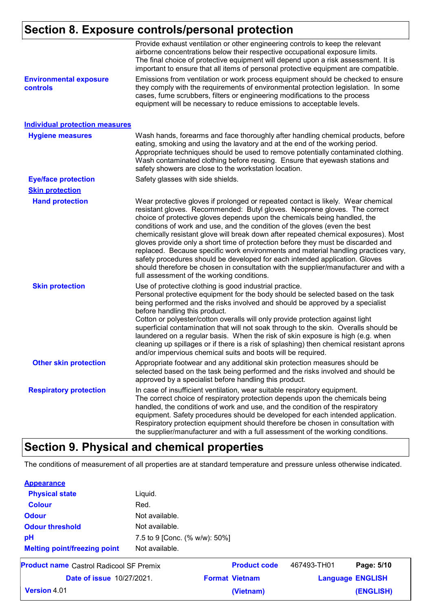## **Section 8. Exposure controls/personal protection**

| <b>Environmental exposure</b><br><b>controls</b> | Provide exhaust ventilation or other engineering controls to keep the relevant<br>airborne concentrations below their respective occupational exposure limits.<br>The final choice of protective equipment will depend upon a risk assessment. It is<br>important to ensure that all items of personal protective equipment are compatible.<br>Emissions from ventilation or work process equipment should be checked to ensure<br>they comply with the requirements of environmental protection legislation. In some<br>cases, fume scrubbers, filters or engineering modifications to the process<br>equipment will be necessary to reduce emissions to acceptable levels.                                                                                                                                   |
|--------------------------------------------------|----------------------------------------------------------------------------------------------------------------------------------------------------------------------------------------------------------------------------------------------------------------------------------------------------------------------------------------------------------------------------------------------------------------------------------------------------------------------------------------------------------------------------------------------------------------------------------------------------------------------------------------------------------------------------------------------------------------------------------------------------------------------------------------------------------------|
| <b>Individual protection measures</b>            |                                                                                                                                                                                                                                                                                                                                                                                                                                                                                                                                                                                                                                                                                                                                                                                                                |
| <b>Hygiene measures</b>                          | Wash hands, forearms and face thoroughly after handling chemical products, before<br>eating, smoking and using the lavatory and at the end of the working period.<br>Appropriate techniques should be used to remove potentially contaminated clothing.<br>Wash contaminated clothing before reusing. Ensure that eyewash stations and<br>safety showers are close to the workstation location.                                                                                                                                                                                                                                                                                                                                                                                                                |
| <b>Eye/face protection</b>                       | Safety glasses with side shields.                                                                                                                                                                                                                                                                                                                                                                                                                                                                                                                                                                                                                                                                                                                                                                              |
| <b>Skin protection</b>                           |                                                                                                                                                                                                                                                                                                                                                                                                                                                                                                                                                                                                                                                                                                                                                                                                                |
| <b>Hand protection</b>                           | Wear protective gloves if prolonged or repeated contact is likely. Wear chemical<br>resistant gloves. Recommended: Butyl gloves. Neoprene gloves. The correct<br>choice of protective gloves depends upon the chemicals being handled, the<br>conditions of work and use, and the condition of the gloves (even the best<br>chemically resistant glove will break down after repeated chemical exposures). Most<br>gloves provide only a short time of protection before they must be discarded and<br>replaced. Because specific work environments and material handling practices vary,<br>safety procedures should be developed for each intended application. Gloves<br>should therefore be chosen in consultation with the supplier/manufacturer and with a<br>full assessment of the working conditions. |
| <b>Skin protection</b>                           | Use of protective clothing is good industrial practice.<br>Personal protective equipment for the body should be selected based on the task<br>being performed and the risks involved and should be approved by a specialist<br>before handling this product.<br>Cotton or polyester/cotton overalls will only provide protection against light<br>superficial contamination that will not soak through to the skin. Overalls should be<br>laundered on a regular basis. When the risk of skin exposure is high (e.g. when<br>cleaning up spillages or if there is a risk of splashing) then chemical resistant aprons<br>and/or impervious chemical suits and boots will be required.                                                                                                                          |
| <b>Other skin protection</b>                     | Appropriate footwear and any additional skin protection measures should be<br>selected based on the task being performed and the risks involved and should be<br>approved by a specialist before handling this product.                                                                                                                                                                                                                                                                                                                                                                                                                                                                                                                                                                                        |
| <b>Respiratory protection</b>                    | In case of insufficient ventilation, wear suitable respiratory equipment.<br>The correct choice of respiratory protection depends upon the chemicals being<br>handled, the conditions of work and use, and the condition of the respiratory<br>equipment. Safety procedures should be developed for each intended application.<br>Respiratory protection equipment should therefore be chosen in consultation with<br>the supplier/manufacturer and with a full assessment of the working conditions.                                                                                                                                                                                                                                                                                                          |

## **Section 9. Physical and chemical properties**

The conditions of measurement of all properties are at standard temperature and pressure unless otherwise indicated.

|                                                |                               | (Vietnam)             |             | (ENGLISH)               |
|------------------------------------------------|-------------------------------|-----------------------|-------------|-------------------------|
| <b>Date of issue 10/27/2021.</b>               |                               | <b>Format Vietnam</b> |             | <b>Language ENGLISH</b> |
| <b>Product name</b> Castrol Radicool SF Premix |                               | <b>Product code</b>   | 467493-TH01 | Page: 5/10              |
| <b>Melting point/freezing point</b>            | Not available.                |                       |             |                         |
| pH                                             | 7.5 to 9 [Conc. (% w/w): 50%] |                       |             |                         |
| <b>Odour threshold</b>                         | Not available.                |                       |             |                         |
| <b>Odour</b>                                   | Not available.                |                       |             |                         |
| <b>Colour</b>                                  | Red.                          |                       |             |                         |
| <b>Physical state</b>                          | Liquid.                       |                       |             |                         |
|                                                |                               |                       |             |                         |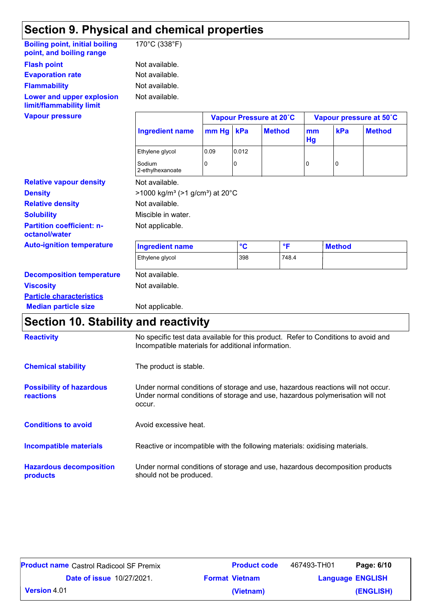## **Section 9. Physical and chemical properties**

| <b>Boiling point, initial boiling</b><br>point, and boiling range | 170°C (338°F)                                          |       |                 |                         |          |               |                         |
|-------------------------------------------------------------------|--------------------------------------------------------|-------|-----------------|-------------------------|----------|---------------|-------------------------|
| <b>Flash point</b>                                                | Not available.                                         |       |                 |                         |          |               |                         |
| <b>Evaporation rate</b>                                           | Not available.                                         |       |                 |                         |          |               |                         |
| <b>Flammability</b>                                               | Not available.                                         |       |                 |                         |          |               |                         |
| Lower and upper explosion<br>limit/flammability limit             | Not available.                                         |       |                 |                         |          |               |                         |
| <b>Vapour pressure</b>                                            |                                                        |       |                 | Vapour Pressure at 20°C |          |               | Vapour pressure at 50°C |
|                                                                   | <b>Ingredient name</b>                                 | mm Hg | kPa             | <b>Method</b>           | mm<br>Hg | kPa           | <b>Method</b>           |
|                                                                   | Ethylene glycol                                        | 0.09  | 0.012           |                         |          |               |                         |
|                                                                   | Sodium<br>2-ethylhexanoate                             | 0     | 0               |                         | 0        | 0             |                         |
| <b>Relative vapour density</b>                                    | Not available.                                         |       |                 |                         |          |               |                         |
| <b>Density</b>                                                    | $>1000 \text{ kg/m}^3$ ( $>1 \text{ g/cm}^3$ ) at 20°C |       |                 |                         |          |               |                         |
| <b>Relative density</b>                                           | Not available.                                         |       |                 |                         |          |               |                         |
| <b>Solubility</b>                                                 | Miscible in water.                                     |       |                 |                         |          |               |                         |
| <b>Partition coefficient: n-</b><br>octanol/water                 | Not applicable.                                        |       |                 |                         |          |               |                         |
| <b>Auto-ignition temperature</b>                                  | <b>Ingredient name</b>                                 |       | $\rm ^{\circ}C$ | °F                      |          | <b>Method</b> |                         |
|                                                                   | Ethylene glycol                                        |       | 398             | 748.4                   |          |               |                         |
| <b>Decomposition temperature</b>                                  | Not available.                                         |       |                 |                         |          |               |                         |
| <b>Viscosity</b>                                                  | Not available.                                         |       |                 |                         |          |               |                         |
| <b>Particle characteristics</b>                                   |                                                        |       |                 |                         |          |               |                         |
| <b>Median particle size</b>                                       | Not applicable.                                        |       |                 |                         |          |               |                         |

## **Section 10. Stability and reactivity**

| <b>Reactivity</b>                            | No specific test data available for this product. Refer to Conditions to avoid and<br>Incompatible materials for additional information.                                   |
|----------------------------------------------|----------------------------------------------------------------------------------------------------------------------------------------------------------------------------|
| <b>Chemical stability</b>                    | The product is stable.                                                                                                                                                     |
| <b>Possibility of hazardous</b><br>reactions | Under normal conditions of storage and use, hazardous reactions will not occur.<br>Under normal conditions of storage and use, hazardous polymerisation will not<br>occur. |
| <b>Conditions to avoid</b>                   | Avoid excessive heat.                                                                                                                                                      |
| <b>Incompatible materials</b>                | Reactive or incompatible with the following materials: oxidising materials.                                                                                                |
| <b>Hazardous decomposition</b><br>products   | Under normal conditions of storage and use, hazardous decomposition products<br>should not be produced.                                                                    |

| <b>Product name</b> Castrol Radicool SF Premix | <b>Product code</b>   | 467493-TH01             | Page: 6/10 |
|------------------------------------------------|-----------------------|-------------------------|------------|
| <b>Date of issue 10/27/2021.</b>               | <b>Format Vietnam</b> | <b>Language ENGLISH</b> |            |
| <b>Version</b> 4.01                            | (Vietnam)             |                         | (ENGLISH)  |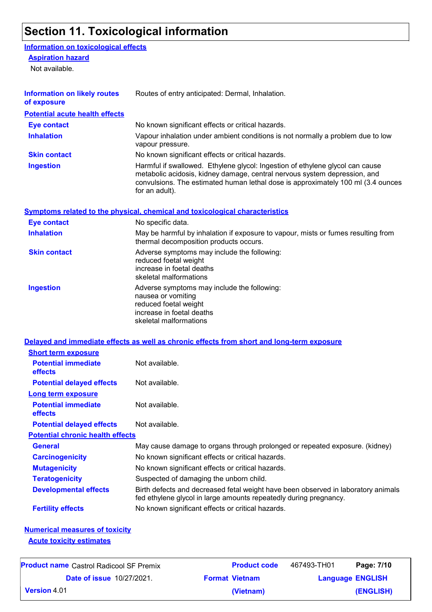## **Section 11. Toxicological information**

### **Information on toxicological effects**

#### **Aspiration hazard**

Not available.

| <b>Information on likely routes</b><br>of exposure                       | Routes of entry anticipated: Dermal, Inhalation.                                                                                                                                                                                                                 |
|--------------------------------------------------------------------------|------------------------------------------------------------------------------------------------------------------------------------------------------------------------------------------------------------------------------------------------------------------|
| <b>Potential acute health effects</b>                                    |                                                                                                                                                                                                                                                                  |
| <b>Eye contact</b>                                                       | No known significant effects or critical hazards.                                                                                                                                                                                                                |
| <b>Inhalation</b>                                                        | Vapour inhalation under ambient conditions is not normally a problem due to low<br>vapour pressure.                                                                                                                                                              |
| <b>Skin contact</b>                                                      | No known significant effects or critical hazards.                                                                                                                                                                                                                |
| <b>Ingestion</b>                                                         | Harmful if swallowed. Ethylene glycol: Ingestion of ethylene glycol can cause<br>metabolic acidosis, kidney damage, central nervous system depression, and<br>convulsions. The estimated human lethal dose is approximately 100 ml (3.4 ounces<br>for an adult). |
|                                                                          | <b>Symptoms related to the physical, chemical and toxicological characteristics</b>                                                                                                                                                                              |
| <b>Eye contact</b>                                                       | No specific data.                                                                                                                                                                                                                                                |
| <b>Inhalation</b>                                                        | May be harmful by inhalation if exposure to vapour, mists or fumes resulting from<br>thermal decomposition products occurs.                                                                                                                                      |
| <b>Skin contact</b>                                                      | Adverse symptoms may include the following:<br>reduced foetal weight<br>increase in foetal deaths<br>skeletal malformations                                                                                                                                      |
| <b>Ingestion</b>                                                         | Adverse symptoms may include the following:<br>nausea or vomiting<br>reduced foetal weight<br>increase in foetal deaths<br>skeletal malformations                                                                                                                |
|                                                                          | Delayed and immediate effects as well as chronic effects from short and long-term exposure                                                                                                                                                                       |
| <b>Short term exposure</b>                                               |                                                                                                                                                                                                                                                                  |
| <b>Potential immediate</b><br>effects                                    | Not available.                                                                                                                                                                                                                                                   |
| <b>Potential delayed effects</b>                                         | Not available.                                                                                                                                                                                                                                                   |
| <b>Long term exposure</b>                                                |                                                                                                                                                                                                                                                                  |
| <b>Potential immediate</b><br>effects                                    | Not available.                                                                                                                                                                                                                                                   |
| <b>Potential delayed effects</b>                                         | Not available.                                                                                                                                                                                                                                                   |
| <b>Potential chronic health effects</b>                                  |                                                                                                                                                                                                                                                                  |
| <b>General</b>                                                           | May cause damage to organs through prolonged or repeated exposure. (kidney)                                                                                                                                                                                      |
| <b>Carcinogenicity</b>                                                   | No known significant effects or critical hazards.                                                                                                                                                                                                                |
| <b>Mutagenicity</b>                                                      | No known significant effects or critical hazards.                                                                                                                                                                                                                |
| <b>Teratogenicity</b>                                                    | Suspected of damaging the unborn child.                                                                                                                                                                                                                          |
| <b>Developmental effects</b>                                             | Birth defects and decreased fetal weight have been observed in laboratory animals<br>fed ethylene glycol in large amounts repeatedly during pregnancy.                                                                                                           |
| <b>Fertility effects</b>                                                 | No known significant effects or critical hazards.                                                                                                                                                                                                                |
| <b>Numerical measures of toxicity</b><br><b>Acute toxicity estimates</b> |                                                                                                                                                                                                                                                                  |

| <b>Product name</b> Castrol Radicool SF Premix | <b>Product code</b>   | 467493-TH01 | Page: 7/10              |
|------------------------------------------------|-----------------------|-------------|-------------------------|
| <b>Date of issue 10/27/2021.</b>               | <b>Format Vietnam</b> |             | <b>Language ENGLISH</b> |
| <b>Version</b> 4.01                            | (Vietnam)             |             | (ENGLISH)               |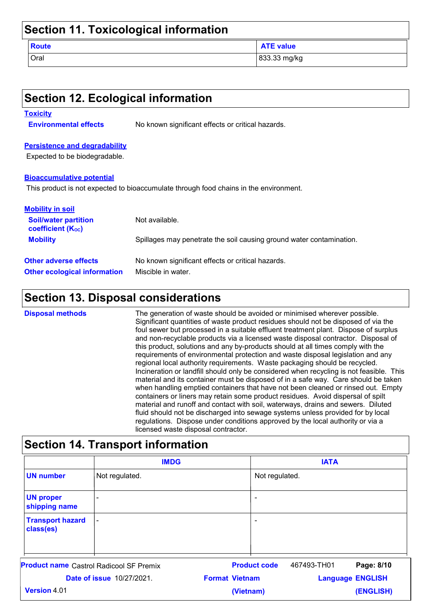| Section 11. Toxicological information |                  |  |
|---------------------------------------|------------------|--|
| <b>Route</b>                          | <b>ATE value</b> |  |
| Oral                                  | 833.33 mg/kg     |  |

| <b>Toxicity</b>                                         |                                                                                       |
|---------------------------------------------------------|---------------------------------------------------------------------------------------|
| <b>Environmental effects</b>                            | No known significant effects or critical hazards.                                     |
| <b>Persistence and degradability</b>                    |                                                                                       |
| Expected to be biodegradable.                           |                                                                                       |
| <b>Bioaccumulative potential</b>                        |                                                                                       |
|                                                         | This product is not expected to bioaccumulate through food chains in the environment. |
|                                                         |                                                                                       |
| <b>Mobility in soil</b>                                 |                                                                                       |
| <b>Soil/water partition</b><br><b>coefficient (Koc)</b> | Not available.                                                                        |
| <b>Mobility</b>                                         | Spillages may penetrate the soil causing ground water contamination.                  |
| <b>Other adverse effects</b>                            | No known significant effects or critical hazards.                                     |

| <b>Disposal methods</b> | The generation of waste should be avoided or minimised wherever possible.<br>Significant quantities of waste product residues should not be disposed of via the<br>foul sewer but processed in a suitable effluent treatment plant. Dispose of surplus<br>and non-recyclable products via a licensed waste disposal contractor. Disposal of<br>this product, solutions and any by-products should at all times comply with the<br>requirements of environmental protection and waste disposal legislation and any                                                                                                                                                                                                                  |
|-------------------------|------------------------------------------------------------------------------------------------------------------------------------------------------------------------------------------------------------------------------------------------------------------------------------------------------------------------------------------------------------------------------------------------------------------------------------------------------------------------------------------------------------------------------------------------------------------------------------------------------------------------------------------------------------------------------------------------------------------------------------|
|                         | regional local authority requirements. Waste packaging should be recycled.<br>Incineration or landfill should only be considered when recycling is not feasible. This<br>material and its container must be disposed of in a safe way. Care should be taken<br>when handling emptied containers that have not been cleaned or rinsed out. Empty<br>containers or liners may retain some product residues. Avoid dispersal of spilt<br>material and runoff and contact with soil, waterways, drains and sewers. Diluted<br>fluid should not be discharged into sewage systems unless provided for by local<br>regulations. Dispose under conditions approved by the local authority or via a<br>licensed waste disposal contractor. |

## **Section 14. Transport information**

|                                      | <b>IMDG</b>                                               |           |                     | <b>IATA</b>             |            |
|--------------------------------------|-----------------------------------------------------------|-----------|---------------------|-------------------------|------------|
| <b>UN number</b>                     | Not regulated.                                            |           | Not regulated.      |                         |            |
| <b>UN proper</b><br>shipping name    |                                                           |           | ۰                   |                         |            |
| <b>Transport hazard</b><br>class(es) | $\overline{\phantom{a}}$                                  |           | $\overline{a}$      |                         |            |
|                                      | <b>Product name</b> Castrol Radicool SF Premix            |           | <b>Product code</b> | 467493-TH01             | Page: 8/10 |
|                                      | <b>Format Vietnam</b><br><b>Date of issue 10/27/2021.</b> |           |                     | <b>Language ENGLISH</b> |            |
| Version 4.01                         |                                                           | (Vietnam) |                     |                         | (ENGLISH)  |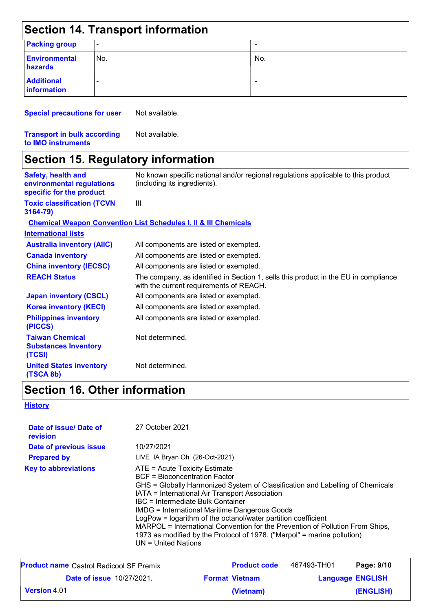| Section 14. Transport information |                          |                          |  |  |  |
|-----------------------------------|--------------------------|--------------------------|--|--|--|
| <b>Packing group</b>              | $\overline{\phantom{a}}$ | $\overline{\phantom{0}}$ |  |  |  |
| <b>Environmental</b><br>hazards   | No.                      | No.                      |  |  |  |
| <b>Additional</b><br>information  | -                        | $\overline{\phantom{0}}$ |  |  |  |

**Special precautions for user** Not available.

**Transport in bulk according to IMO instruments**

Not available.

## **Section 15. Regulatory information**

| <b>Safety, health and</b><br>environmental regulations<br>specific for the product | No known specific national and/or regional regulations applicable to this product<br>(including its ingredients).              |
|------------------------------------------------------------------------------------|--------------------------------------------------------------------------------------------------------------------------------|
| <b>Toxic classification (TCVN</b><br>3164-79)                                      | $\mathbf{III}$                                                                                                                 |
|                                                                                    | <b>Chemical Weapon Convention List Schedules I, II &amp; III Chemicals</b>                                                     |
| <b>International lists</b>                                                         |                                                                                                                                |
| <b>Australia inventory (AIIC)</b>                                                  | All components are listed or exempted.                                                                                         |
| <b>Canada inventory</b>                                                            | All components are listed or exempted.                                                                                         |
| <b>China inventory (IECSC)</b>                                                     | All components are listed or exempted.                                                                                         |
| <b>REACH Status</b>                                                                | The company, as identified in Section 1, sells this product in the EU in compliance<br>with the current requirements of REACH. |
| <b>Japan inventory (CSCL)</b>                                                      | All components are listed or exempted.                                                                                         |
| <b>Korea inventory (KECI)</b>                                                      | All components are listed or exempted.                                                                                         |
| <b>Philippines inventory</b><br>(PICCS)                                            | All components are listed or exempted.                                                                                         |
| <b>Taiwan Chemical</b><br><b>Substances Inventory</b><br>(TCSI)                    | Not determined.                                                                                                                |
| <b>United States inventory</b><br>(TSCA 8b)                                        | Not determined.                                                                                                                |

## **Section 16. Other information**

**History**

| Date of issue/Date of<br>revision | 27 October 2021                                                                                                                                                                                                                                                                                                                                                                                                                                                                                                                                           |
|-----------------------------------|-----------------------------------------------------------------------------------------------------------------------------------------------------------------------------------------------------------------------------------------------------------------------------------------------------------------------------------------------------------------------------------------------------------------------------------------------------------------------------------------------------------------------------------------------------------|
| Date of previous issue            | 10/27/2021                                                                                                                                                                                                                                                                                                                                                                                                                                                                                                                                                |
| <b>Prepared by</b>                | LIVE IA Bryan Oh (26-Oct-2021)                                                                                                                                                                                                                                                                                                                                                                                                                                                                                                                            |
| <b>Key to abbreviations</b>       | ATE = Acute Toxicity Estimate<br><b>BCF</b> = Bioconcentration Factor<br>GHS = Globally Harmonized System of Classification and Labelling of Chemicals<br>IATA = International Air Transport Association<br>IBC = Intermediate Bulk Container<br><b>IMDG</b> = International Maritime Dangerous Goods<br>LogPow = logarithm of the octanol/water partition coefficient<br>MARPOL = International Convention for the Prevention of Pollution From Ships,<br>1973 as modified by the Protocol of 1978. ("Marpol" = marine pollution)<br>UN = United Nations |

| <b>Product name</b> Castrol Radicool SF Premix | <b>Product code</b>   | 467493-TH01             | Page: 9/10 |
|------------------------------------------------|-----------------------|-------------------------|------------|
| <b>Date of issue 10/27/2021.</b>               | <b>Format Vietnam</b> | <b>Language ENGLISH</b> |            |
| $\mid$ Version 4.01 $\mid$                     | (Vietnam)             |                         | (ENGLISH)  |